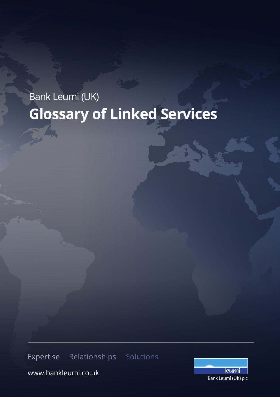## Bank Leumi (UK) **Glossary of Linked Services**

Expertise Relationships Solutions

www.bankleumi.co.uk

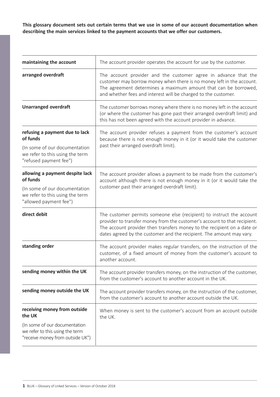**This glossary document sets out certain terms that we use in some of our account documentation when describing the main services linked to the payment accounts that we offer our customers.**

| maintaining the account                                                                                                                        | The account provider operates the account for use by the customer.                                                                                                                                                                                                                                    |
|------------------------------------------------------------------------------------------------------------------------------------------------|-------------------------------------------------------------------------------------------------------------------------------------------------------------------------------------------------------------------------------------------------------------------------------------------------------|
| arranged overdraft                                                                                                                             | The account provider and the customer agree in advance that the<br>customer may borrow money when there is no money left in the account.<br>The agreement determines a maximum amount that can be borrowed,<br>and whether fees and interest will be charged to the customer.                         |
| <b>Unarranged overdraft</b>                                                                                                                    | The customer borrows money where there is no money left in the account<br>(or where the customer has gone past their arranged overdraft limit) and<br>this has not been agreed with the account provider in advance.                                                                                  |
| refusing a payment due to lack<br>of funds<br>(In some of our documentation<br>we refer to this using the term<br>"refused payment fee")       | The account provider refuses a payment from the customer's account<br>because there is not enough money in it (or it would take the customer<br>past their arranged overdraft limit).                                                                                                                 |
| allowing a payment despite lack<br>of funds<br>(In some of our documentation<br>we refer to this using the term<br>"allowed payment fee")      | The account provider allows a payment to be made from the customer's<br>account although there is not enough money in it (or it would take the<br>customer past their arranged overdraft limit).                                                                                                      |
| direct debit                                                                                                                                   | The customer permits someone else (recipient) to instruct the account<br>provider to transfer money from the customer's account to that recipient.<br>The account provider then transfers money to the recipient on a date or<br>dates agreed by the customer and the recipient. The amount may vary. |
| standing order                                                                                                                                 | The account provider makes regular transfers, on the instruction of the<br>customer, of a fixed amount of money from the customer's account to<br>another account.                                                                                                                                    |
| sending money within the UK                                                                                                                    | The account provider transfers money, on the instruction of the customer,<br>from the customer's account to another account in the UK.                                                                                                                                                                |
| sending money outside the UK                                                                                                                   | The account provider transfers money, on the instruction of the customer,<br>from the customer's account to another account outside the UK.                                                                                                                                                           |
| receiving money from outside<br>the UK<br>(In some of our documentation<br>we refer to this using the term<br>"receive money from outside UK") | When money is sent to the customer's account from an account outside<br>the UK.                                                                                                                                                                                                                       |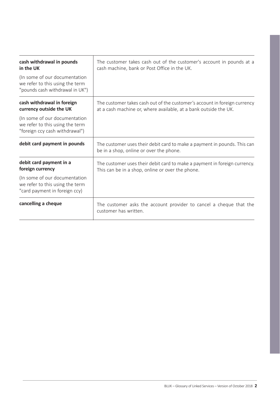| cash withdrawal in pounds<br>in the UK<br>(In some of our documentation<br>we refer to this using the term<br>"pounds cash withdrawal in UK") | The customer takes cash out of the customer's account in pounds at a<br>cash machine, bank or Post Office in the UK.                          |
|-----------------------------------------------------------------------------------------------------------------------------------------------|-----------------------------------------------------------------------------------------------------------------------------------------------|
| cash withdrawal in foreign<br>currency outside the UK                                                                                         | The customer takes cash out of the customer's account in foreign currency<br>at a cash machine or, where available, at a bank outside the UK. |
| (In some of our documentation<br>we refer to this using the term<br>"foreign ccy cash withdrawal")                                            |                                                                                                                                               |
| debit card payment in pounds                                                                                                                  | The customer uses their debit card to make a payment in pounds. This can<br>be in a shop, online or over the phone.                           |
| debit card payment in a<br>foreign currency                                                                                                   | The customer uses their debit card to make a payment in foreign currency.<br>This can be in a shop, online or over the phone.                 |
| (In some of our documentation<br>we refer to this using the term                                                                              |                                                                                                                                               |
| "card payment in foreign ccy)                                                                                                                 |                                                                                                                                               |